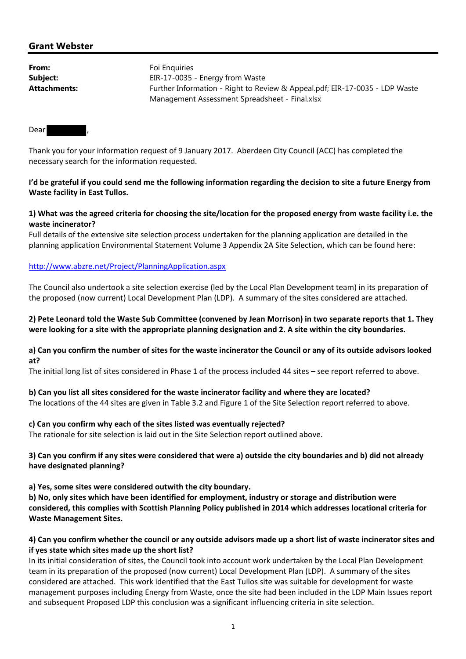# **Grant Webster**

| From:        | Foi Enguiries                                                               |  |  |  |  |  |
|--------------|-----------------------------------------------------------------------------|--|--|--|--|--|
| Subject:     | EIR-17-0035 - Energy from Waste                                             |  |  |  |  |  |
| Attachments: | Further Information - Right to Review & Appeal.pdf; EIR-17-0035 - LDP Waste |  |  |  |  |  |
|              | Management Assessment Spreadsheet - Final.xlsx                              |  |  |  |  |  |

Dear

Thank you for your information request of 9 January 2017. Aberdeen City Council (ACC) has completed the necessary search for the information requested.

## I'd be grateful if you could send me the following information regarding the decision to site a future Energy from **Waste facility in East Tullos.**

## 1) What was the agreed criteria for choosing the site/location for the proposed energy from waste facility i.e. the **waste incinerator?**

Full details of the extensive site selection process undertaken for the planning application are detailed in the planning application Environmental Statement Volume 3 Appendix 2A Site Selection, which can be found here:

## http://www.abzre.net/Project/PlanningApplication.aspx

The Council also undertook a site selection exercise (led by the Local Plan Development team) in its preparation of the proposed (now current) Local Development Plan (LDP). A summary of the sites considered are attached.

## 2) Pete Leonard told the Waste Sub Committee (convened by Jean Morrison) in two separate reports that 1. They were looking for a site with the appropriate planning designation and 2. A site within the city boundaries.

#### a) Can you confirm the number of sites for the waste incinerator the Council or any of its outside advisors looked **at?**

The initial long list of sites considered in Phase 1 of the process included 44 sites – see report referred to above.

#### **b) Can you list all sites considered for the waste incinerator facility and where they are located?**

The locations of the 44 sites are given in Table 3.2 and Figure 1 of the Site Selection report referred to above.

#### **c) Can you confirm why each of the sites listed was eventually rejected?**

The rationale for site selection is laid out in the Site Selection report outlined above.

# 3) Can you confirm if any sites were considered that were a) outside the city boundaries and b) did not already **have designated planning?**

**a) Yes, some sites were considered outwith the city boundary.**

**b) No, only sites which have been identified for employment, industry or storage and distribution were considered, this complies with Scottish Planning Policy published in 2014 which addresses locational criteria for Waste Management Sites.** 

# 4) Can you confirm whether the council or any outside advisors made up a short list of waste incinerator sites and **if yes state which sites made up the short list?**

In its initial consideration of sites, the Council took into account work undertaken by the Local Plan Development team in its preparation of the proposed (now current) Local Development Plan (LDP). A summary of the sites considered are attached. This work identified that the East Tullos site was suitable for development for waste management purposes including Energy from Waste, once the site had been included in the LDP Main Issues report and subsequent Proposed LDP this conclusion was a significant influencing criteria in site selection.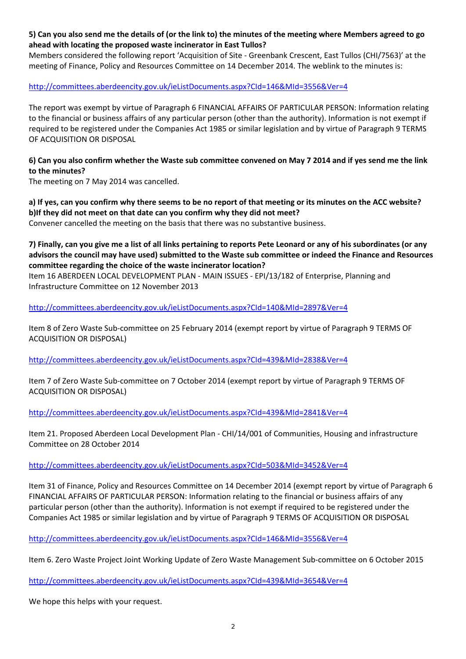# 5) Can you also send me the details of (or the link to) the minutes of the meeting where Members agreed to go **ahead with locating the proposed waste incinerator in East Tullos?**

Members considered the following report 'Acquisition of Site ‐ Greenbank Crescent, East Tullos (CHI/7563)' at the meeting of Finance, Policy and Resources Committee on 14 December 2014. The weblink to the minutes is:

## http://committees.aberdeencity.gov.uk/ieListDocuments.aspx?CId=146&MId=3556&Ver=4

The report was exempt by virtue of Paragraph 6 FINANCIAL AFFAIRS OF PARTICULAR PERSON: Information relating to the financial or business affairs of any particular person (other than the authority). Information is not exempt if required to be registered under the Companies Act 1985 or similar legislation and by virtue of Paragraph 9 TERMS OF ACQUISITION OR DISPOSAL

# 6) Can you also confirm whether the Waste sub committee convened on May 7 2014 and if yes send me the link **to the minutes?**

The meeting on 7 May 2014 was cancelled.

# a) If yes, can you confirm why there seems to be no report of that meeting or its minutes on the ACC website? **b)If they did not meet on that date can you confirm why they did not meet?**

Convener cancelled the meeting on the basis that there was no substantive business.

7) Finally, can you give me a list of all links pertaining to reports Pete Leonard or any of his subordinates (or any advisors the council may have used) submitted to the Waste sub committee or indeed the Finance and Resources **committee regarding the choice of the waste incinerator location?**

Item 16 ABERDEEN LOCAL DEVELOPMENT PLAN ‐ MAIN ISSUES ‐ EPI/13/182 of Enterprise, Planning and Infrastructure Committee on 12 November 2013

http://committees.aberdeencity.gov.uk/ieListDocuments.aspx?CId=140&MId=2897&Ver=4

Item 8 of Zero Waste Sub‐committee on 25 February 2014 (exempt report by virtue of Paragraph 9 TERMS OF ACQUISITION OR DISPOSAL)

http://committees.aberdeencity.gov.uk/ieListDocuments.aspx?CId=439&MId=2838&Ver=4

Item 7 of Zero Waste Sub‐committee on 7 October 2014 (exempt report by virtue of Paragraph 9 TERMS OF ACQUISITION OR DISPOSAL)

http://committees.aberdeencity.gov.uk/ieListDocuments.aspx?CId=439&MId=2841&Ver=4

Item 21. Proposed Aberdeen Local Development Plan - CHI/14/001 of Communities, Housing and infrastructure Committee on 28 October 2014

http://committees.aberdeencity.gov.uk/ieListDocuments.aspx?CId=503&MId=3452&Ver=4

Item 31 of Finance, Policy and Resources Committee on 14 December 2014 (exempt report by virtue of Paragraph 6 FINANCIAL AFFAIRS OF PARTICULAR PERSON: Information relating to the financial or business affairs of any particular person (other than the authority). Information is not exempt if required to be registered under the Companies Act 1985 or similar legislation and by virtue of Paragraph 9 TERMS OF ACQUISITION OR DISPOSAL

http://committees.aberdeencity.gov.uk/ieListDocuments.aspx?CId=146&MId=3556&Ver=4

Item 6. Zero Waste Project Joint Working Update of Zero Waste Management Sub‐committee on 6 October 2015

http://committees.aberdeencity.gov.uk/ieListDocuments.aspx?CId=439&MId=3654&Ver=4

We hope this helps with your request.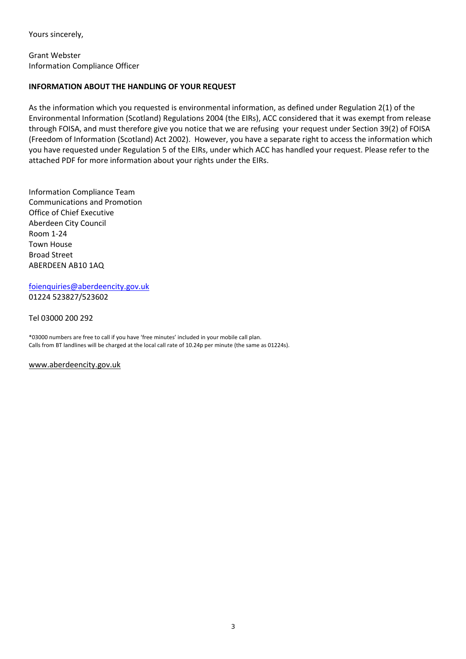Yours sincerely,

Grant Webster Information Compliance Officer

## **INFORMATION ABOUT THE HANDLING OF YOUR REQUEST**

As the information which you requested is environmental information, as defined under Regulation 2(1) of the Environmental Information (Scotland) Regulations 2004 (the EIRs), ACC considered that it was exempt from release through FOISA, and must therefore give you notice that we are refusing your request under Section 39(2) of FOISA (Freedom of Information (Scotland) Act 2002). However, you have a separate right to access the information which you have requested under Regulation 5 of the EIRs, under which ACC has handled your request. Please refer to the attached PDF for more information about your rights under the EIRs.

Information Compliance Team Communications and Promotion Office of Chief Executive Aberdeen City Council Room 1‐24 Town House Broad Street ABERDEEN AB10 1AQ

foienquiries@aberdeencity.gov.uk 01224 523827/523602

Tel 03000 200 292

\*03000 numbers are free to call if you have 'free minutes' included in your mobile call plan. Calls from BT landlines will be charged at the local call rate of 10.24p per minute (the same as 01224s).

www.aberdeencity.gov.uk